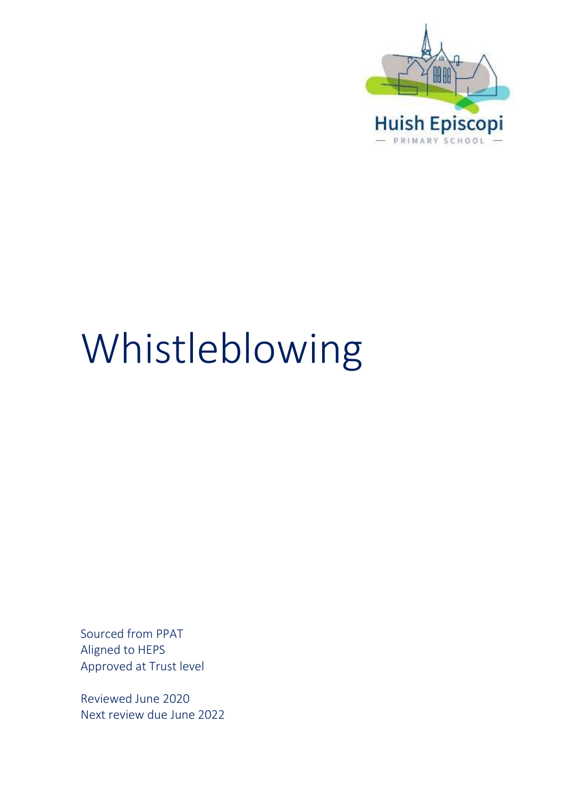

# Whistleblowing

Sourced from PPAT Aligned to HEPS Approved at Trust level

Reviewed June 2020 Next review due June 2022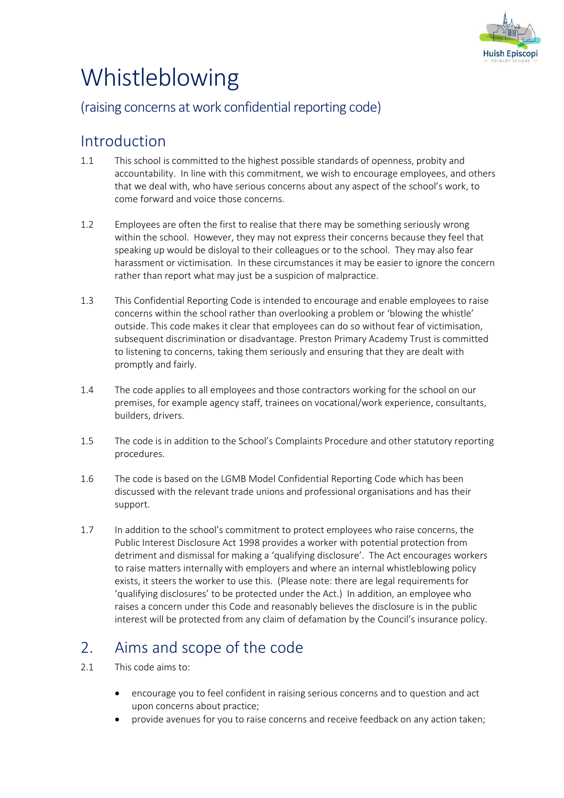

# Whistleblowing

## (raising concerns at work confidential reporting code)

# Introduction

- 1.1 This school is committed to the highest possible standards of openness, probity and accountability. In line with this commitment, we wish to encourage employees, and others that we deal with, who have serious concerns about any aspect of the school's work, to come forward and voice those concerns.
- 1.2 Employees are often the first to realise that there may be something seriously wrong within the school. However, they may not express their concerns because they feel that speaking up would be disloyal to their colleagues or to the school. They may also fear harassment or victimisation. In these circumstances it may be easier to ignore the concern rather than report what may just be a suspicion of malpractice.
- 1.3 This Confidential Reporting Code is intended to encourage and enable employees to raise concerns within the school rather than overlooking a problem or 'blowing the whistle' outside. This code makes it clear that employees can do so without fear of victimisation, subsequent discrimination or disadvantage. Preston Primary Academy Trust is committed to listening to concerns, taking them seriously and ensuring that they are dealt with promptly and fairly.
- 1.4 The code applies to all employees and those contractors working for the school on our premises, for example agency staff, trainees on vocational/work experience, consultants, builders, drivers.
- 1.5 The code is in addition to the School's Complaints Procedure and other statutory reporting procedures.
- 1.6 The code is based on the LGMB Model Confidential Reporting Code which has been discussed with the relevant trade unions and professional organisations and has their support.
- 1.7 In addition to the school's commitment to protect employees who raise concerns, the Public Interest Disclosure Act 1998 provides a worker with potential protection from detriment and dismissal for making a 'qualifying disclosure'. The Act encourages workers to raise matters internally with employers and where an internal whistleblowing policy exists, it steers the worker to use this. (Please note: there are legal requirements for 'qualifying disclosures' to be protected under the Act.) In addition, an employee who raises a concern under this Code and reasonably believes the disclosure is in the public interest will be protected from any claim of defamation by the Council's insurance policy.

# 2. Aims and scope of the code

- 2.1 This code aims to:
	- encourage you to feel confident in raising serious concerns and to question and act upon concerns about practice;
	- provide avenues for you to raise concerns and receive feedback on any action taken;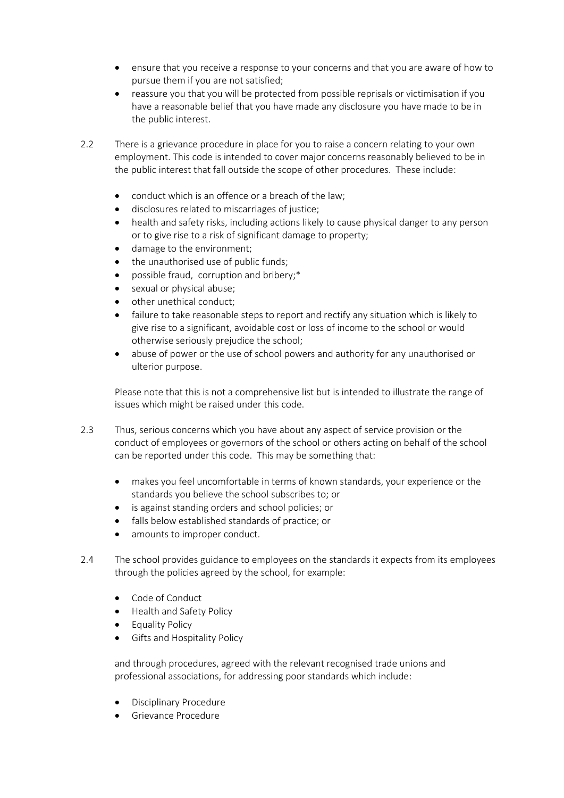- ensure that you receive a response to your concerns and that you are aware of how to pursue them if you are not satisfied;
- reassure you that you will be protected from possible reprisals or victimisation if you have a reasonable belief that you have made any disclosure you have made to be in the public interest.
- 2.2 There is a grievance procedure in place for you to raise a concern relating to your own employment. This code is intended to cover major concerns reasonably believed to be in the public interest that fall outside the scope of other procedures. These include:
	- conduct which is an offence or a breach of the law;
	- disclosures related to miscarriages of justice;
	- health and safety risks, including actions likely to cause physical danger to any person or to give rise to a risk of significant damage to property;
	- damage to the environment;
	- the unauthorised use of public funds;
	- possible fraud, corruption and bribery;\*
	- sexual or physical abuse;
	- other unethical conduct;
	- failure to take reasonable steps to report and rectify any situation which is likely to give rise to a significant, avoidable cost or loss of income to the school or would otherwise seriously prejudice the school;
	- abuse of power or the use of school powers and authority for any unauthorised or ulterior purpose.

Please note that this is not a comprehensive list but is intended to illustrate the range of issues which might be raised under this code.

- 2.3 Thus, serious concerns which you have about any aspect of service provision or the conduct of employees or governors of the school or others acting on behalf of the school can be reported under this code. This may be something that:
	- makes you feel uncomfortable in terms of known standards, your experience or the standards you believe the school subscribes to; or
	- is against standing orders and school policies; or
	- falls below established standards of practice; or
	- amounts to improper conduct.
- 2.4 The school provides guidance to employees on the standards it expects from its employees through the policies agreed by the school, for example:
	- Code of Conduct
	- Health and Safety Policy
	- Equality Policy
	- Gifts and Hospitality Policy

and through procedures, agreed with the relevant recognised trade unions and professional associations, for addressing poor standards which include:

- Disciplinary Procedure
- Grievance Procedure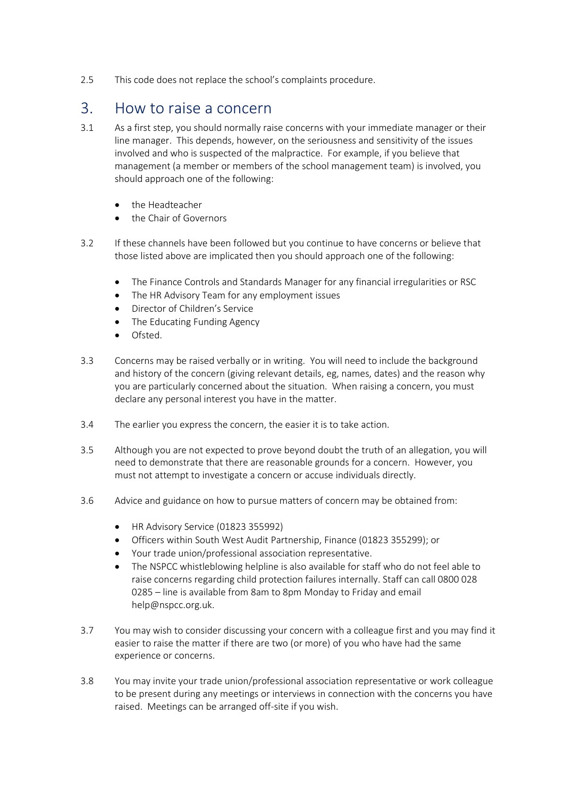2.5 This code does not replace the school's complaints procedure.

#### 3. How to raise a concern

- 3.1 As a first step, you should normally raise concerns with your immediate manager or their line manager. This depends, however, on the seriousness and sensitivity of the issues involved and who is suspected of the malpractice. For example, if you believe that management (a member or members of the school management team) is involved, you should approach one of the following:
	- the Headteacher
	- the Chair of Governors
- 3.2 If these channels have been followed but you continue to have concerns or believe that those listed above are implicated then you should approach one of the following:
	- The Finance Controls and Standards Manager for any financial irregularities or RSC
	- The HR Advisory Team for any employment issues
	- Director of Children's Service
	- The Educating Funding Agency
	- Ofsted.
- 3.3 Concerns may be raised verbally or in writing. You will need to include the background and history of the concern (giving relevant details, eg, names, dates) and the reason why you are particularly concerned about the situation. When raising a concern, you must declare any personal interest you have in the matter.
- 3.4 The earlier you express the concern, the easier it is to take action.
- 3.5 Although you are not expected to prove beyond doubt the truth of an allegation, you will need to demonstrate that there are reasonable grounds for a concern. However, you must not attempt to investigate a concern or accuse individuals directly.
- 3.6 Advice and guidance on how to pursue matters of concern may be obtained from:
	- HR Advisory Service (01823 355992)
	- Officers within South West Audit Partnership, Finance (01823 355299); or
	- Your trade union/professional association representative.
	- The NSPCC whistleblowing helpline is also available for staff who do not feel able to raise concerns regarding child protection failures internally. Staff can call 0800 028 0285 – line is available from 8am to 8pm Monday to Friday and email help@nspcc.org.uk.
- 3.7 You may wish to consider discussing your concern with a colleague first and you may find it easier to raise the matter if there are two (or more) of you who have had the same experience or concerns.
- 3.8 You may invite your trade union/professional association representative or work colleague to be present during any meetings or interviews in connection with the concerns you have raised. Meetings can be arranged off-site if you wish.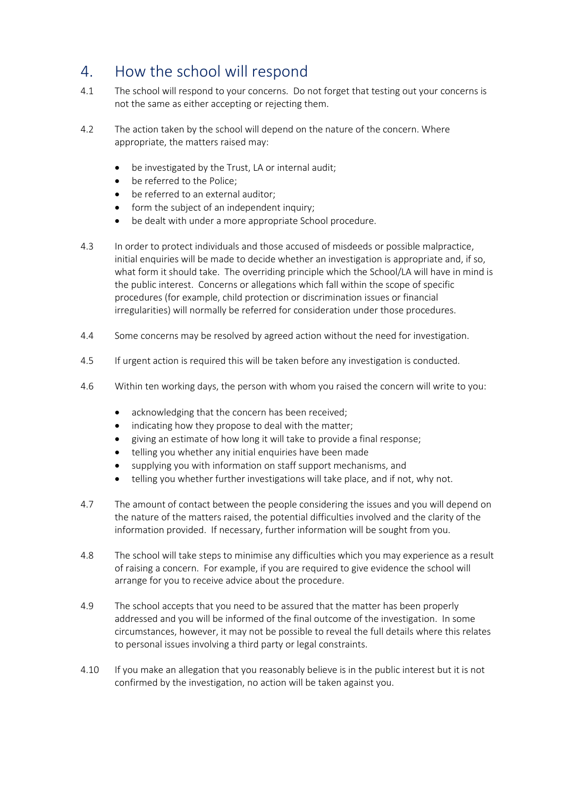# 4. How the school will respond

- 4.1 The school will respond to your concerns. Do not forget that testing out your concerns is not the same as either accepting or rejecting them.
- 4.2 The action taken by the school will depend on the nature of the concern. Where appropriate, the matters raised may:
	- be investigated by the Trust, LA or internal audit;
	- be referred to the Police;
	- be referred to an external auditor:
	- form the subject of an independent inquiry;
	- be dealt with under a more appropriate School procedure.
- 4.3 In order to protect individuals and those accused of misdeeds or possible malpractice, initial enquiries will be made to decide whether an investigation is appropriate and, if so, what form it should take. The overriding principle which the School/LA will have in mind is the public interest. Concerns or allegations which fall within the scope of specific procedures (for example, child protection or discrimination issues or financial irregularities) will normally be referred for consideration under those procedures.
- 4.4 Some concerns may be resolved by agreed action without the need for investigation.
- 4.5 If urgent action is required this will be taken before any investigation is conducted.
- 4.6 Within ten working days, the person with whom you raised the concern will write to you:
	- acknowledging that the concern has been received;
	- indicating how they propose to deal with the matter;
	- giving an estimate of how long it will take to provide a final response;
	- telling you whether any initial enquiries have been made
	- supplying you with information on staff support mechanisms, and
	- telling you whether further investigations will take place, and if not, why not.
- 4.7 The amount of contact between the people considering the issues and you will depend on the nature of the matters raised, the potential difficulties involved and the clarity of the information provided. If necessary, further information will be sought from you.
- 4.8 The school will take steps to minimise any difficulties which you may experience as a result of raising a concern. For example, if you are required to give evidence the school will arrange for you to receive advice about the procedure.
- 4.9 The school accepts that you need to be assured that the matter has been properly addressed and you will be informed of the final outcome of the investigation. In some circumstances, however, it may not be possible to reveal the full details where this relates to personal issues involving a third party or legal constraints.
- 4.10 If you make an allegation that you reasonably believe is in the public interest but it is not confirmed by the investigation, no action will be taken against you.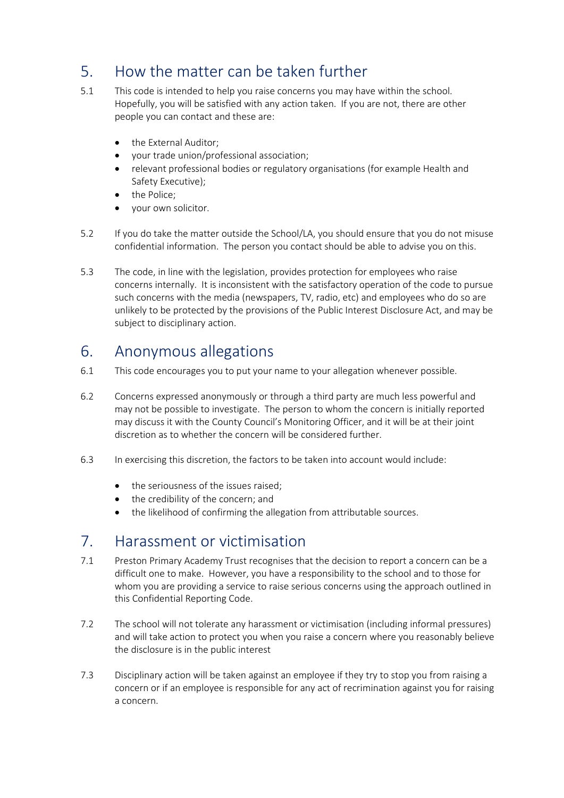# 5. How the matter can be taken further

- 5.1 This code is intended to help you raise concerns you may have within the school. Hopefully, you will be satisfied with any action taken. If you are not, there are other people you can contact and these are:
	- the External Auditor:
	- your trade union/professional association;
	- relevant professional bodies or regulatory organisations (for example Health and Safety Executive);
	- the Police;
	- your own solicitor.
- 5.2 If you do take the matter outside the School/LA, you should ensure that you do not misuse confidential information. The person you contact should be able to advise you on this.
- 5.3 The code, in line with the legislation, provides protection for employees who raise concerns internally. It is inconsistent with the satisfactory operation of the code to pursue such concerns with the media (newspapers, TV, radio, etc) and employees who do so are unlikely to be protected by the provisions of the Public Interest Disclosure Act, and may be subject to disciplinary action.

#### 6. Anonymous allegations

- 6.1 This code encourages you to put your name to your allegation whenever possible.
- 6.2 Concerns expressed anonymously or through a third party are much less powerful and may not be possible to investigate. The person to whom the concern is initially reported may discuss it with the County Council's Monitoring Officer, and it will be at their joint discretion as to whether the concern will be considered further.
- 6.3 In exercising this discretion, the factors to be taken into account would include:
	- the seriousness of the issues raised;
	- the credibility of the concern; and
	- the likelihood of confirming the allegation from attributable sources.

#### 7. Harassment or victimisation

- 7.1 Preston Primary Academy Trust recognises that the decision to report a concern can be a difficult one to make. However, you have a responsibility to the school and to those for whom you are providing a service to raise serious concerns using the approach outlined in this Confidential Reporting Code.
- 7.2 The school will not tolerate any harassment or victimisation (including informal pressures) and will take action to protect you when you raise a concern where you reasonably believe the disclosure is in the public interest
- 7.3 Disciplinary action will be taken against an employee if they try to stop you from raising a concern or if an employee is responsible for any act of recrimination against you for raising a concern.